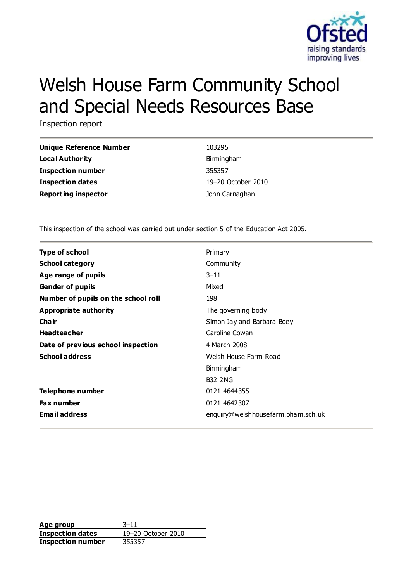

# Welsh House Farm Community School and Special Needs Resources Base

Inspection report

| Unique Reference Number    | 103295             |
|----------------------------|--------------------|
| Local Authority            | Birmingham         |
| <b>Inspection number</b>   | 355357             |
| <b>Inspection dates</b>    | 19-20 October 2010 |
| <b>Reporting inspector</b> | John Carnaghan     |

This inspection of the school was carried out under section 5 of the Education Act 2005.

| <b>Type of school</b>               | Primary                            |
|-------------------------------------|------------------------------------|
| <b>School category</b>              | Community                          |
| Age range of pupils                 | $3 - 11$                           |
| <b>Gender of pupils</b>             | Mixed                              |
| Number of pupils on the school roll | 198                                |
| <b>Appropriate authority</b>        | The governing body                 |
| Cha ir                              | Simon Jay and Barbara Boey         |
| <b>Headteacher</b>                  | Caroline Cowan                     |
| Date of previous school inspection  | 4 March 2008                       |
| <b>School address</b>               | Welsh House Farm Road              |
|                                     | Birmingham                         |
|                                     | <b>B32 2NG</b>                     |
| <b>Telephone number</b>             | 0121 4644355                       |
| <b>Fax number</b>                   | 0121 4642307                       |
| <b>Email address</b>                | enquiry@welshhousefarm.bham.sch.uk |

**Age group** 3–11 **Inspection dates** 19–20 October 2010 **Inspection number** 355357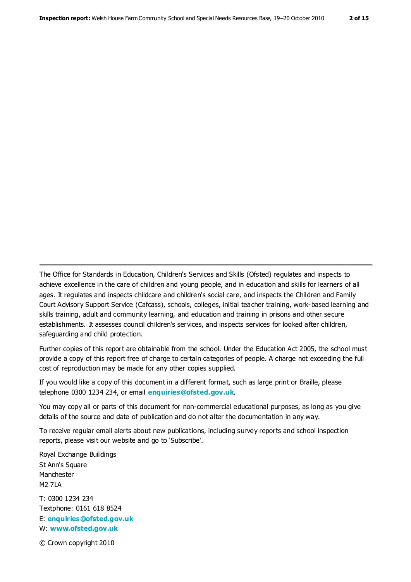The Office for Standards in Education, Children's Services and Skills (Ofsted) regulates and inspects to achieve excellence in the care of children and young people, and in education and skills for learners of all ages. It regulates and inspects childcare and children's social care, and inspects the Children and Family Court Advisory Support Service (Cafcass), schools, colleges, initial teacher training, work-based learning and skills training, adult and community learning, and education and training in prisons and other secure establishments. It assesses council children's services, and inspects services for looked after children, safeguarding and child protection.

Further copies of this report are obtainable from the school. Under the Education Act 2005, the school must provide a copy of this report free of charge to certain categories of people. A charge not exceeding the full cost of reproduction may be made for any other copies supplied.

If you would like a copy of this document in a different format, such as large print or Braille, please telephone 0300 1234 234, or email **[enquiries@ofsted.gov.uk](mailto:enquiries@ofsted.gov.uk)**.

You may copy all or parts of this document for non-commercial educational purposes, as long as you give details of the source and date of publication and do not alter the documentation in any way.

To receive regular email alerts about new publications, including survey reports and school inspection reports, please visit our website and go to 'Subscribe'.

Royal Exchange Buildings St Ann's Square Manchester M2 7LA T: 0300 1234 234 Textphone: 0161 618 8524 E: **[enquiries@ofsted.gov.uk](mailto:enquiries@ofsted.gov.uk)**

W: **[www.ofsted.gov.uk](http://www.ofsted.gov.uk/)**

© Crown copyright 2010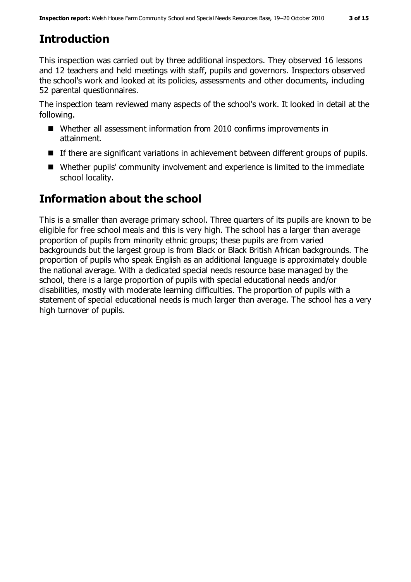# **Introduction**

This inspection was carried out by three additional inspectors. They observed 16 lessons and 12 teachers and held meetings with staff, pupils and governors. Inspectors observed the school's work and looked at its policies, assessments and other documents, including 52 parental questionnaires.

The inspection team reviewed many aspects of the school's work. It looked in detail at the following.

- Whether all assessment information from 2010 confirms improvements in attainment.
- If there are significant variations in achievement between different groups of pupils.
- Whether pupils' community involvement and experience is limited to the immediate school locality.

# **Information about the school**

This is a smaller than average primary school. Three quarters of its pupils are known to be eligible for free school meals and this is very high. The school has a larger than average proportion of pupils from minority ethnic groups; these pupils are from varied backgrounds but the largest group is from Black or Black British African backgrounds. The proportion of pupils who speak English as an additional language is approximately double the national average. With a dedicated special needs resource base managed by the school, there is a large proportion of pupils with special educational needs and/or disabilities, mostly with moderate learning difficulties. The proportion of pupils with a statement of special educational needs is much larger than average. The school has a very high turnover of pupils.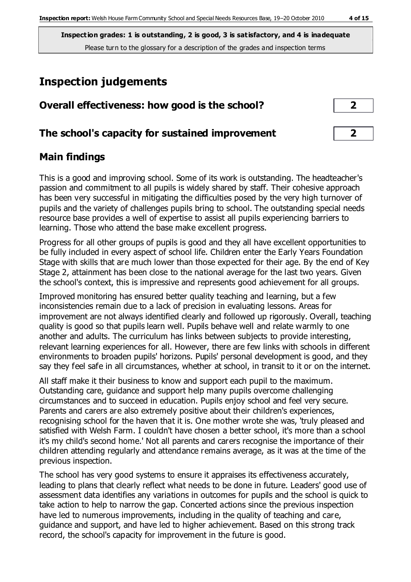# **Inspection judgements**

| Overall effectiveness: how good is the school?  |  |
|-------------------------------------------------|--|
| The school's capacity for sustained improvement |  |

# **Main findings**

This is a good and improving school. Some of its work is outstanding. The headteacher's passion and commitment to all pupils is widely shared by staff. Their cohesive approach has been very successful in mitigating the difficulties posed by the very high turnover of pupils and the variety of challenges pupils bring to school. The outstanding special needs resource base provides a well of expertise to assist all pupils experiencing barriers to learning. Those who attend the base make excellent progress.

Progress for all other groups of pupils is good and they all have excellent opportunities to be fully included in every aspect of school life. Children enter the Early Years Foundation Stage with skills that are much lower than those expected for their age. By the end of Key Stage 2, attainment has been close to the national average for the last two years. Given the school's context, this is impressive and represents good achievement for all groups.

Improved monitoring has ensured better quality teaching and learning, but a few inconsistencies remain due to a lack of precision in evaluating lessons. Areas for improvement are not always identified clearly and followed up rigorously. Overall, teaching quality is good so that pupils learn well. Pupils behave well and relate warmly to one another and adults. The curriculum has links between subjects to provide interesting, relevant learning experiences for all. However, there are few links with schools in different environments to broaden pupils' horizons. Pupils' personal development is good, and they say they feel safe in all circumstances, whether at school, in transit to it or on the internet.

All staff make it their business to know and support each pupil to the maximum. Outstanding care, guidance and support help many pupils overcome challenging circumstances and to succeed in education. Pupils enjoy school and feel very secure. Parents and carers are also extremely positive about their children's experiences, recognising school for the haven that it is. One mother wrote she was, 'truly pleased and satisfied with Welsh Farm. I couldn't have chosen a better school, it's more than a school it's my child's second home.' Not all parents and carers recognise the importance of their children attending regularly and attendance remains average, as it was at the time of the previous inspection.

The school has very good systems to ensure it appraises its effectiveness accurately, leading to plans that clearly reflect what needs to be done in future. Leaders' good use of assessment data identifies any variations in outcomes for pupils and the school is quick to take action to help to narrow the gap. Concerted actions since the previous inspection have led to numerous improvements, including in the quality of teaching and care, guidance and support, and have led to higher achievement. Based on this strong track record, the school's capacity for improvement in the future is good.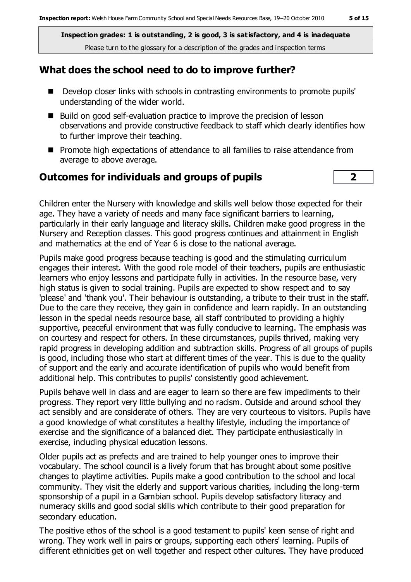#### **What does the school need to do to improve further?**

- Develop closer links with schools in contrasting environments to promote pupils' understanding of the wider world.
- $\blacksquare$  Build on good self-evaluation practice to improve the precision of lesson observations and provide constructive feedback to staff which clearly identifies how to further improve their teaching.
- **Promote high expectations of attendance to all families to raise attendance from** average to above average.

# **Outcomes for individuals and groups of pupils 2**

Children enter the Nursery with knowledge and skills well below those expected for their age. They have a variety of needs and many face significant barriers to learning, particularly in their early language and literacy skills. Children make good progress in the Nursery and Reception classes. This good progress continues and attainment in English and mathematics at the end of Year 6 is close to the national average.

Pupils make good progress because teaching is good and the stimulating curriculum engages their interest. With the good role model of their teachers, pupils are enthusiastic learners who enjoy lessons and participate fully in activities. In the resource base, very high status is given to social training. Pupils are expected to show respect and to say 'please' and 'thank you'. Their behaviour is outstanding, a tribute to their trust in the staff. Due to the care they receive, they gain in confidence and learn rapidly. In an outstanding lesson in the special needs resource base, all staff contributed to providing a highly supportive, peaceful environment that was fully conducive to learning. The emphasis was on courtesy and respect for others. In these circumstances, pupils thrived, making very rapid progress in developing addition and subtraction skills. Progress of all groups of pupils is good, including those who start at different times of the year. This is due to the quality of support and the early and accurate identification of pupils who would benefit from additional help. This contributes to pupils' consistently good achievement.

Pupils behave well in class and are eager to learn so there are few impediments to their progress. They report very little bullying and no racism. Outside and around school they act sensibly and are considerate of others. They are very courteous to visitors. Pupils have a good knowledge of what constitutes a healthy lifestyle, including the importance of exercise and the significance of a balanced diet. They participate enthusiastically in exercise, including physical education lessons.

Older pupils act as prefects and are trained to help younger ones to improve their vocabulary. The school council is a lively forum that has brought about some positive changes to playtime activities. Pupils make a good contribution to the school and local community. They visit the elderly and support various charities, including the long-term sponsorship of a pupil in a Gambian school. Pupils develop satisfactory literacy and numeracy skills and good social skills which contribute to their good preparation for secondary education.

The positive ethos of the school is a good testament to pupils' keen sense of right and wrong. They work well in pairs or groups, supporting each others' learning. Pupils of different ethnicities get on well together and respect other cultures. They have produced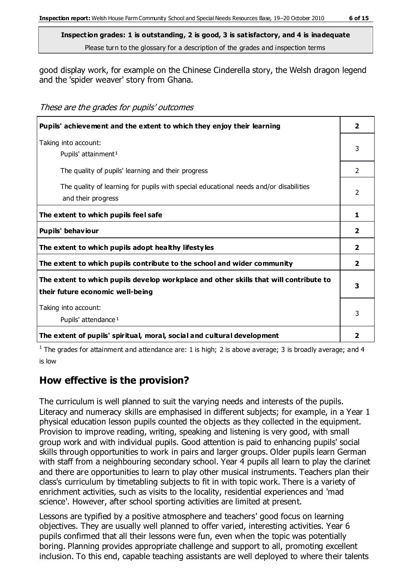good display work, for example on the Chinese Cinderella story, the Welsh dragon legend and the 'spider weaver' story from Ghana.

These are the grades for pupils' outcomes

| Pupils' achievement and the extent to which they enjoy their learning                                                     |                |
|---------------------------------------------------------------------------------------------------------------------------|----------------|
| Taking into account:<br>Pupils' attainment <sup>1</sup>                                                                   | 3              |
| The quality of pupils' learning and their progress                                                                        | $\overline{2}$ |
| The quality of learning for pupils with special educational needs and/or disabilities<br>and their progress               |                |
| The extent to which pupils feel safe                                                                                      | 1              |
| Pupils' behaviour                                                                                                         | $\mathbf{2}$   |
| The extent to which pupils adopt healthy lifestyles                                                                       | $\overline{2}$ |
| The extent to which pupils contribute to the school and wider community                                                   | $\overline{2}$ |
| The extent to which pupils develop workplace and other skills that will contribute to<br>their future economic well-being | 3              |
| Taking into account:<br>Pupils' attendance <sup>1</sup>                                                                   |                |
| The extent of pupils' spiritual, moral, social and cultural development                                                   | $\overline{2}$ |

<sup>1</sup> The grades for attainment and attendance are: 1 is high; 2 is above average; 3 is broadly average; and 4 is low

# **How effective is the provision?**

The curriculum is well planned to suit the varying needs and interests of the pupils. Literacy and numeracy skills are emphasised in different subjects; for example, in a Year 1 physical education lesson pupils counted the objects as they collected in the equipment. Provision to improve reading, writing, speaking and listening is very good, with small group work and with individual pupils. Good attention is paid to enhancing pupils' social skills through opportunities to work in pairs and larger groups. Older pupils learn German with staff from a neighbouring secondary school. Year 4 pupils all learn to play the clarinet and there are opportunities to learn to play other musical instruments. Teachers plan their class's curriculum by timetabling subjects to fit in with topic work. There is a variety of enrichment activities, such as visits to the locality, residential experiences and 'mad science'. However, after school sporting activities are limited at present.

Lessons are typified by a positive atmosphere and teachers' good focus on learning objectives. They are usually well planned to offer varied, interesting activities. Year 6 pupils confirmed that all their lessons were fun, even when the topic was potentially boring. Planning provides appropriate challenge and support to all, promoting excellent inclusion. To this end, capable teaching assistants are well deployed to where their talents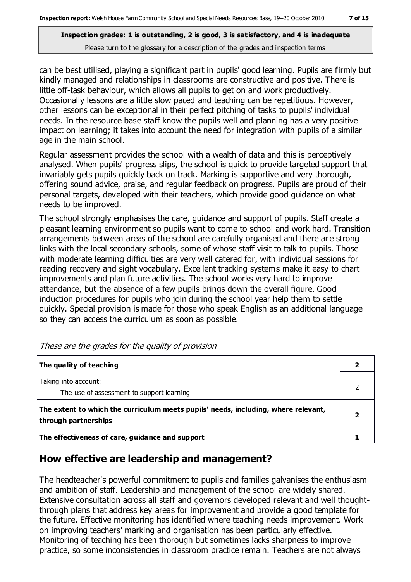can be best utilised, playing a significant part in pupils' good learning. Pupils are firmly but kindly managed and relationships in classrooms are constructive and positive. There is little off-task behaviour, which allows all pupils to get on and work productively. Occasionally lessons are a little slow paced and teaching can be repetitious. However, other lessons can be exceptional in their perfect pitching of tasks to pupils' individual needs. In the resource base staff know the pupils well and planning has a very positive impact on learning; it takes into account the need for integration with pupils of a similar age in the main school.

Regular assessment provides the school with a wealth of data and this is perceptively analysed. When pupils' progress slips, the school is quick to provide targeted support that invariably gets pupils quickly back on track. Marking is supportive and very thorough, offering sound advice, praise, and regular feedback on progress. Pupils are proud of their personal targets, developed with their teachers, which provide good guidance on what needs to be improved.

The school strongly emphasises the care, guidance and support of pupils. Staff create a pleasant learning environment so pupils want to come to school and work hard. Transition arrangements between areas of the school are carefully organised and there ar e strong links with the local secondary schools, some of whose staff visit to talk to pupils. Those with moderate learning difficulties are very well catered for, with individual sessions for reading recovery and sight vocabulary. Excellent tracking systems make it easy to chart improvements and plan future activities. The school works very hard to improve attendance, but the absence of a few pupils brings down the overall figure. Good induction procedures for pupils who join during the school year help them to settle quickly. Special provision is made for those who speak English as an additional language so they can access the curriculum as soon as possible.

| The quality of teaching                                                                                    |  |
|------------------------------------------------------------------------------------------------------------|--|
| Taking into account:<br>The use of assessment to support learning                                          |  |
| The extent to which the curriculum meets pupils' needs, including, where relevant,<br>through partnerships |  |
| The effectiveness of care, guidance and support                                                            |  |

These are the grades for the quality of provision

#### **How effective are leadership and management?**

The headteacher's powerful commitment to pupils and families galvanises the enthusiasm and ambition of staff. Leadership and management of the school are widely shared. Extensive consultation across all staff and governors developed relevant and well thoughtthrough plans that address key areas for improvement and provide a good template for the future. Effective monitoring has identified where teaching needs improvement. Work on improving teachers' marking and organisation has been particularly effective. Monitoring of teaching has been thorough but sometimes lacks sharpness to improve practice, so some inconsistencies in classroom practice remain. Teachers are not always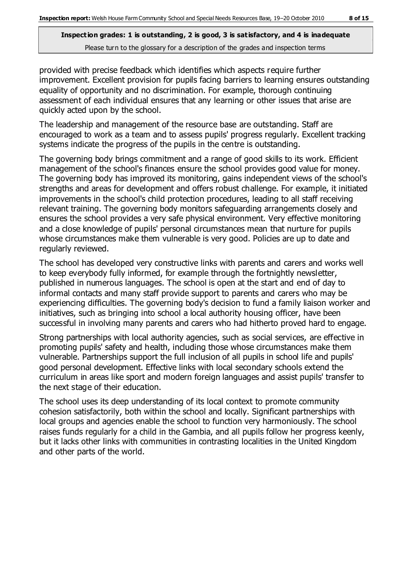provided with precise feedback which identifies which aspects require further improvement. Excellent provision for pupils facing barriers to learning ensures outstanding equality of opportunity and no discrimination. For example, thorough continuing assessment of each individual ensures that any learning or other issues that arise are quickly acted upon by the school.

The leadership and management of the resource base are outstanding. Staff are encouraged to work as a team and to assess pupils' progress regularly. Excellent tracking systems indicate the progress of the pupils in the centre is outstanding.

The governing body brings commitment and a range of good skills to its work. Efficient management of the school's finances ensure the school provides good value for money. The governing body has improved its monitoring, gains independent views of the school's strengths and areas for development and offers robust challenge. For example, it initiated improvements in the school's child protection procedures, leading to all staff receiving relevant training. The governing body monitors safeguarding arrangements closely and ensures the school provides a very safe physical environment. Very effective monitoring and a close knowledge of pupils' personal circumstances mean that nurture for pupils whose circumstances make them vulnerable is very good. Policies are up to date and regularly reviewed.

The school has developed very constructive links with parents and carers and works well to keep everybody fully informed, for example through the fortnightly newsletter, published in numerous languages. The school is open at the start and end of day to informal contacts and many staff provide support to parents and carers who may be experiencing difficulties. The governing body's decision to fund a family liaison worker and initiatives, such as bringing into school a local authority housing officer, have been successful in involving many parents and carers who had hitherto proved hard to engage.

Strong partnerships with local authority agencies, such as social services, are effective in promoting pupils' safety and health, including those whose circumstances make them vulnerable. Partnerships support the full inclusion of all pupils in school life and pupils' good personal development. Effective links with local secondary schools extend the curriculum in areas like sport and modern foreign languages and assist pupils' transfer to the next stage of their education.

The school uses its deep understanding of its local context to promote community cohesion satisfactorily, both within the school and locally. Significant partnerships with local groups and agencies enable the school to function very harmoniously. The school raises funds regularly for a child in the Gambia, and all pupils follow her progress keenly, but it lacks other links with communities in contrasting localities in the United Kingdom and other parts of the world.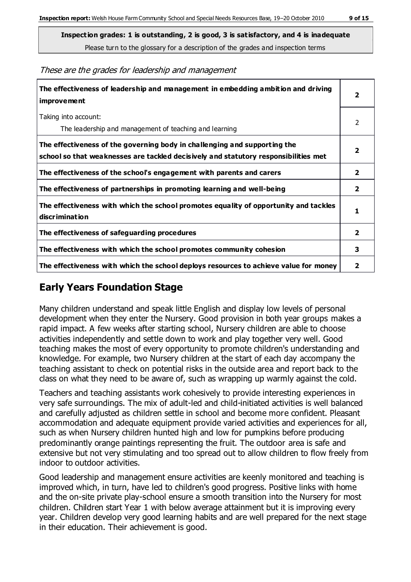These are the grades for leadership and management

| The effectiveness of leadership and management in embedding ambition and driving<br>improvement                                                                  |                         |
|------------------------------------------------------------------------------------------------------------------------------------------------------------------|-------------------------|
| Taking into account:<br>The leadership and management of teaching and learning                                                                                   | 2                       |
| The effectiveness of the governing body in challenging and supporting the<br>school so that weaknesses are tackled decisively and statutory responsibilities met | $\overline{\mathbf{2}}$ |
| The effectiveness of the school's engagement with parents and carers                                                                                             | $\mathbf{2}$            |
| The effectiveness of partnerships in promoting learning and well-being                                                                                           | $\mathbf{2}$            |
| The effectiveness with which the school promotes equality of opportunity and tackles<br>discrimination                                                           | 1                       |
| The effectiveness of safeguarding procedures                                                                                                                     | $\overline{2}$          |
| The effectiveness with which the school promotes community cohesion                                                                                              | 3                       |
| The effectiveness with which the school deploys resources to achieve value for money                                                                             | 2                       |

# **Early Years Foundation Stage**

Many children understand and speak little English and display low levels of personal development when they enter the Nursery. Good provision in both year groups makes a rapid impact. A few weeks after starting school, Nursery children are able to choose activities independently and settle down to work and play together very well. Good teaching makes the most of every opportunity to promote children's understanding and knowledge. For example, two Nursery children at the start of each day accompany the teaching assistant to check on potential risks in the outside area and report back to the class on what they need to be aware of, such as wrapping up warmly against the cold.

Teachers and teaching assistants work cohesively to provide interesting experiences in very safe surroundings. The mix of adult-led and child-initiated activities is well balanced and carefully adjusted as children settle in school and become more confident. Pleasant accommodation and adequate equipment provide varied activities and experiences for all, such as when Nursery children hunted high and low for pumpkins before producing predominantly orange paintings representing the fruit. The outdoor area is safe and extensive but not very stimulating and too spread out to allow children to flow freely from indoor to outdoor activities.

Good leadership and management ensure activities are keenly monitored and teaching is improved which, in turn, have led to children's good progress. Positive links with home and the on-site private play-school ensure a smooth transition into the Nursery for most children. Children start Year 1 with below average attainment but it is improving every year. Children develop very good learning habits and are well prepared for the next stage in their education. Their achievement is good.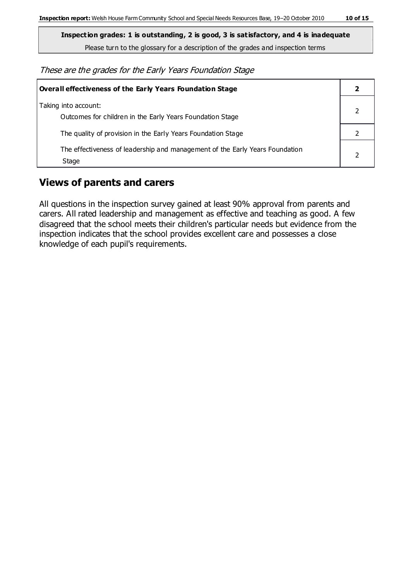These are the grades for the Early Years Foundation Stage

| Overall effectiveness of the Early Years Foundation Stage                             |  |
|---------------------------------------------------------------------------------------|--|
| Taking into account:<br>Outcomes for children in the Early Years Foundation Stage     |  |
| The quality of provision in the Early Years Foundation Stage                          |  |
| The effectiveness of leadership and management of the Early Years Foundation<br>Stage |  |

# **Views of parents and carers**

All questions in the inspection survey gained at least 90% approval from parents and carers. All rated leadership and management as effective and teaching as good. A few disagreed that the school meets their children's particular needs but evidence from the inspection indicates that the school provides excellent care and possesses a close knowledge of each pupil's requirements.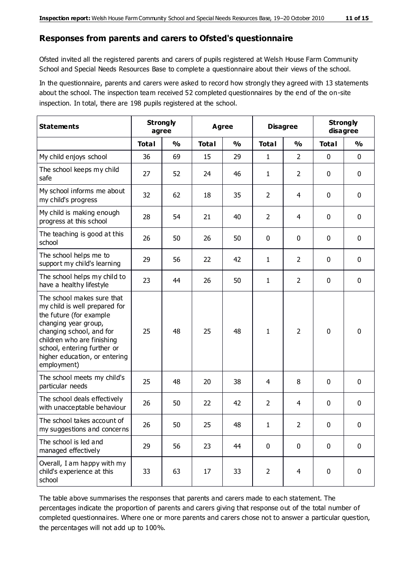#### **Responses from parents and carers to Ofsted's questionnaire**

Ofsted invited all the registered parents and carers of pupils registered at Welsh House Farm Community School and Special Needs Resources Base to complete a questionnaire about their views of the school.

In the questionnaire, parents and carers were asked to record how strongly they agreed with 13 statements about the school. The inspection team received 52 completed questionnaires by the end of the on-site inspection. In total, there are 198 pupils registered at the school.

| <b>Statements</b>                                                                                                                                                                                                                                       | <b>Strongly</b><br>agree |               | Agree        |               | <b>Disagree</b> |                | <b>Strongly</b><br>disagree |               |
|---------------------------------------------------------------------------------------------------------------------------------------------------------------------------------------------------------------------------------------------------------|--------------------------|---------------|--------------|---------------|-----------------|----------------|-----------------------------|---------------|
|                                                                                                                                                                                                                                                         | <b>Total</b>             | $\frac{0}{0}$ | <b>Total</b> | $\frac{0}{0}$ | <b>Total</b>    | $\frac{0}{0}$  | <b>Total</b>                | $\frac{0}{0}$ |
| My child enjoys school                                                                                                                                                                                                                                  | 36                       | 69            | 15           | 29            | 1               | $\overline{2}$ | $\mathbf 0$                 | $\mathbf 0$   |
| The school keeps my child<br>safe                                                                                                                                                                                                                       | 27                       | 52            | 24           | 46            | 1               | $\overline{2}$ | $\mathbf 0$                 | $\mathbf 0$   |
| My school informs me about<br>my child's progress                                                                                                                                                                                                       | 32                       | 62            | 18           | 35            | $\overline{2}$  | 4              | $\mathbf 0$                 | $\mathbf 0$   |
| My child is making enough<br>progress at this school                                                                                                                                                                                                    | 28                       | 54            | 21           | 40            | 2               | 4              | 0                           | $\mathbf 0$   |
| The teaching is good at this<br>school                                                                                                                                                                                                                  | 26                       | 50            | 26           | 50            | 0               | 0              | $\mathbf 0$                 | $\mathbf 0$   |
| The school helps me to<br>support my child's learning                                                                                                                                                                                                   | 29                       | 56            | 22           | 42            | 1               | $\overline{2}$ | $\mathbf 0$                 | $\mathbf 0$   |
| The school helps my child to<br>have a healthy lifestyle                                                                                                                                                                                                | 23                       | 44            | 26           | 50            | $\mathbf{1}$    | $\overline{2}$ | $\mathbf 0$                 | $\mathbf 0$   |
| The school makes sure that<br>my child is well prepared for<br>the future (for example<br>changing year group,<br>changing school, and for<br>children who are finishing<br>school, entering further or<br>higher education, or entering<br>employment) | 25                       | 48            | 25           | 48            | 1               | $\overline{2}$ | $\mathbf 0$                 | $\mathbf 0$   |
| The school meets my child's<br>particular needs                                                                                                                                                                                                         | 25                       | 48            | 20           | 38            | 4               | 8              | $\mathbf 0$                 | $\mathbf 0$   |
| The school deals effectively<br>with unacceptable behaviour                                                                                                                                                                                             | 26                       | 50            | 22           | 42            | $\overline{2}$  | 4              | 0                           | 0             |
| The school takes account of<br>my suggestions and concerns                                                                                                                                                                                              | 26                       | 50            | 25           | 48            | 1               | $\overline{2}$ | 0                           | 0             |
| The school is led and<br>managed effectively                                                                                                                                                                                                            | 29                       | 56            | 23           | 44            | $\mathbf 0$     | $\mathbf 0$    | $\mathbf 0$                 | $\mathbf 0$   |
| Overall, I am happy with my<br>child's experience at this<br>school                                                                                                                                                                                     | 33                       | 63            | 17           | 33            | $\overline{2}$  | $\overline{4}$ | $\mathbf 0$                 | $\mathbf 0$   |

The table above summarises the responses that parents and carers made to each statement. The percentages indicate the proportion of parents and carers giving that response out of the total number of completed questionnaires. Where one or more parents and carers chose not to answer a particular question, the percentages will not add up to 100%.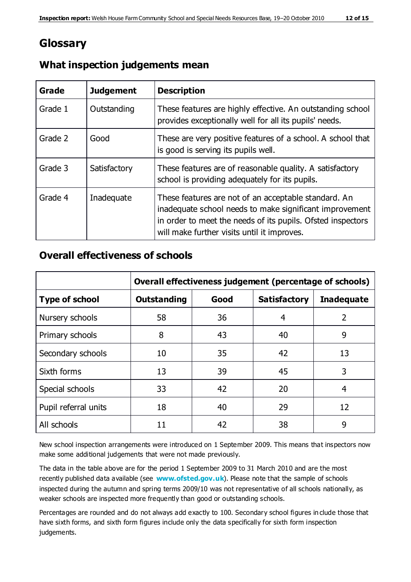# **Glossary**

| Grade   | <b>Judgement</b> | <b>Description</b>                                                                                                                                                                                                            |
|---------|------------------|-------------------------------------------------------------------------------------------------------------------------------------------------------------------------------------------------------------------------------|
| Grade 1 | Outstanding      | These features are highly effective. An outstanding school<br>provides exceptionally well for all its pupils' needs.                                                                                                          |
| Grade 2 | Good             | These are very positive features of a school. A school that<br>is good is serving its pupils well.                                                                                                                            |
| Grade 3 | Satisfactory     | These features are of reasonable quality. A satisfactory<br>school is providing adequately for its pupils.                                                                                                                    |
| Grade 4 | Inadequate       | These features are not of an acceptable standard. An<br>inadequate school needs to make significant improvement<br>in order to meet the needs of its pupils. Ofsted inspectors<br>will make further visits until it improves. |

#### **What inspection judgements mean**

#### **Overall effectiveness of schools**

|                       | Overall effectiveness judgement (percentage of schools) |      |                     |                   |
|-----------------------|---------------------------------------------------------|------|---------------------|-------------------|
| <b>Type of school</b> | <b>Outstanding</b>                                      | Good | <b>Satisfactory</b> | <b>Inadequate</b> |
| Nursery schools       | 58                                                      | 36   | 4                   | 2                 |
| Primary schools       | 8                                                       | 43   | 40                  | 9                 |
| Secondary schools     | 10                                                      | 35   | 42                  | 13                |
| Sixth forms           | 13                                                      | 39   | 45                  | 3                 |
| Special schools       | 33                                                      | 42   | 20                  | 4                 |
| Pupil referral units  | 18                                                      | 40   | 29                  | 12                |
| All schools           | 11                                                      | 42   | 38                  | 9                 |

New school inspection arrangements were introduced on 1 September 2009. This means that inspectors now make some additional judgements that were not made previously.

The data in the table above are for the period 1 September 2009 to 31 March 2010 and are the most recently published data available (see **[www.ofsted.gov.uk](http://www.ofsted.gov.uk/)**). Please note that the sample of schools inspected during the autumn and spring terms 2009/10 was not representative of all schools nationally, as weaker schools are inspected more frequently than good or outstanding schools.

Percentages are rounded and do not always add exactly to 100. Secondary school figures in clude those that have sixth forms, and sixth form figures include only the data specifically for sixth form inspection judgements.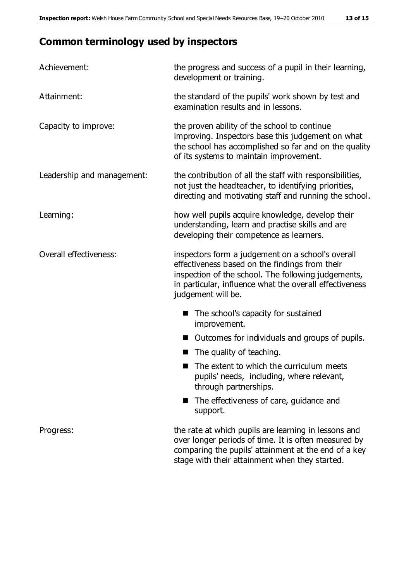# **Common terminology used by inspectors**

| Achievement:               | the progress and success of a pupil in their learning,<br>development or training.                                                                                                                                                          |
|----------------------------|---------------------------------------------------------------------------------------------------------------------------------------------------------------------------------------------------------------------------------------------|
| Attainment:                | the standard of the pupils' work shown by test and<br>examination results and in lessons.                                                                                                                                                   |
| Capacity to improve:       | the proven ability of the school to continue<br>improving. Inspectors base this judgement on what<br>the school has accomplished so far and on the quality<br>of its systems to maintain improvement.                                       |
| Leadership and management: | the contribution of all the staff with responsibilities,<br>not just the headteacher, to identifying priorities,<br>directing and motivating staff and running the school.                                                                  |
| Learning:                  | how well pupils acquire knowledge, develop their<br>understanding, learn and practise skills and are<br>developing their competence as learners.                                                                                            |
| Overall effectiveness:     | inspectors form a judgement on a school's overall<br>effectiveness based on the findings from their<br>inspection of the school. The following judgements,<br>in particular, influence what the overall effectiveness<br>judgement will be. |
|                            | The school's capacity for sustained<br>improvement.                                                                                                                                                                                         |
|                            | Outcomes for individuals and groups of pupils.                                                                                                                                                                                              |
|                            | The quality of teaching.                                                                                                                                                                                                                    |
|                            | The extent to which the curriculum meets<br>pupils' needs, including, where relevant,<br>through partnerships.                                                                                                                              |
|                            | The effectiveness of care, guidance and<br>support.                                                                                                                                                                                         |
| Progress:                  | the rate at which pupils are learning in lessons and<br>over longer periods of time. It is often measured by<br>comparing the pupils' attainment at the end of a key                                                                        |

stage with their attainment when they started.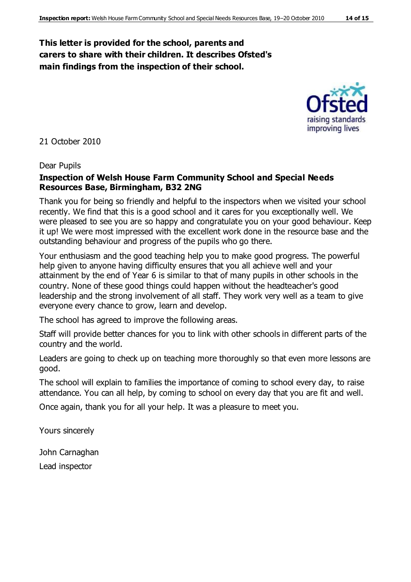# **This letter is provided for the school, parents and carers to share with their children. It describes Ofsted's main findings from the inspection of their school.**



21 October 2010

#### Dear Pupils

#### **Inspection of Welsh House Farm Community School and Special Needs Resources Base, Birmingham, B32 2NG**

Thank you for being so friendly and helpful to the inspectors when we visited your school recently. We find that this is a good school and it cares for you exceptionally well. We were pleased to see you are so happy and congratulate you on your good behaviour. Keep it up! We were most impressed with the excellent work done in the resource base and the outstanding behaviour and progress of the pupils who go there.

Your enthusiasm and the good teaching help you to make good progress. The powerful help given to anyone having difficulty ensures that you all achieve well and your attainment by the end of Year 6 is similar to that of many pupils in other schools in the country. None of these good things could happen without the headteacher's good leadership and the strong involvement of all staff. They work very well as a team to give everyone every chance to grow, learn and develop.

The school has agreed to improve the following areas.

Staff will provide better chances for you to link with other schools in different parts of the country and the world.

Leaders are going to check up on teaching more thoroughly so that even more lessons are good.

The school will explain to families the importance of coming to school every day, to raise attendance. You can all help, by coming to school on every day that you are fit and well.

Once again, thank you for all your help. It was a pleasure to meet you.

Yours sincerely

John Carnaghan

Lead inspector